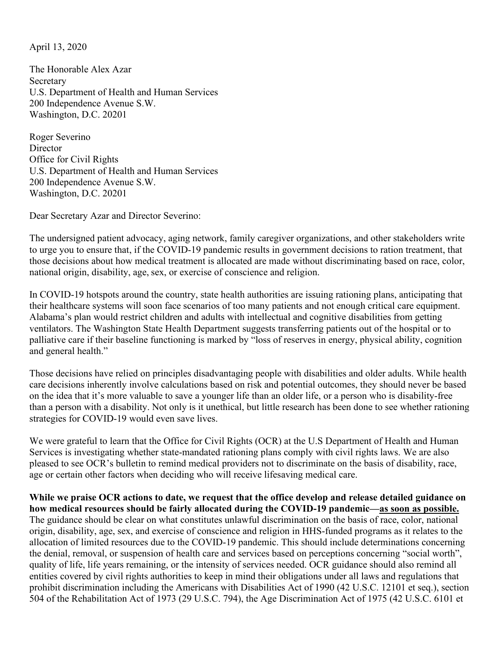April 13, 2020

The Honorable Alex Azar **Secretary** U.S. Department of Health and Human Services 200 Independence Avenue S.W. Washington, D.C. 20201

Roger Severino Director Office for Civil Rights U.S. Department of Health and Human Services 200 Independence Avenue S.W. Washington, D.C. 20201

Dear Secretary Azar and Director Severino:

The undersigned patient advocacy, aging network, family caregiver organizations, and other stakeholders write to urge you to ensure that, if the COVID-19 pandemic results in government decisions to ration treatment, that those decisions about how medical treatment is allocated are made without discriminating based on race, color, national origin, disability, age, sex, or exercise of conscience and religion.

In COVID-19 hotspots around the country, state health authorities are issuing rationing plans, anticipating that their healthcare systems will soon face scenarios of too many patients and not enough critical care equipment. Alabama's plan would restrict children and adults with intellectual and cognitive disabilities from getting ventilators. The Washington State Health Department suggests transferring patients out of the hospital or to palliative care if their baseline functioning is marked by "loss of reserves in energy, physical ability, cognition and general health."

Those decisions have relied on principles disadvantaging people with disabilities and older adults. While health care decisions inherently involve calculations based on risk and potential outcomes, they should never be based on the idea that it's more valuable to save a younger life than an older life, or a person who is disability-free than a person with a disability. Not only is it unethical, but little research has been done to see whether rationing strategies for COVID-19 would even save lives.

We were grateful to learn that the Office for Civil Rights (OCR) at the U.S Department of Health and Human Services is investigating whether state-mandated rationing plans comply with civil rights laws. We are also pleased to see OCR's bulletin to remind medical providers not to discriminate on the basis of disability, race, age or certain other factors when deciding who will receive lifesaving medical care.

**While we praise OCR actions to date, we request that the office develop and release detailed guidance on how medical resources should be fairly allocated during the COVID-19 pandemic—as soon as possible.** The guidance should be clear on what constitutes unlawful discrimination on the basis of race, color, national origin, disability, age, sex, and exercise of conscience and religion in HHS-funded programs as it relates to the allocation of limited resources due to the COVID-19 pandemic. This should include determinations concerning the denial, removal, or suspension of health care and services based on perceptions concerning "social worth", quality of life, life years remaining, or the intensity of services needed. OCR guidance should also remind all entities covered by civil rights authorities to keep in mind their obligations under all laws and regulations that prohibit discrimination including the Americans with Disabilities Act of 1990 (42 U.S.C. 12101 et seq.), section 504 of the Rehabilitation Act of 1973 (29 U.S.C. 794), the Age Discrimination Act of 1975 (42 U.S.C. 6101 et